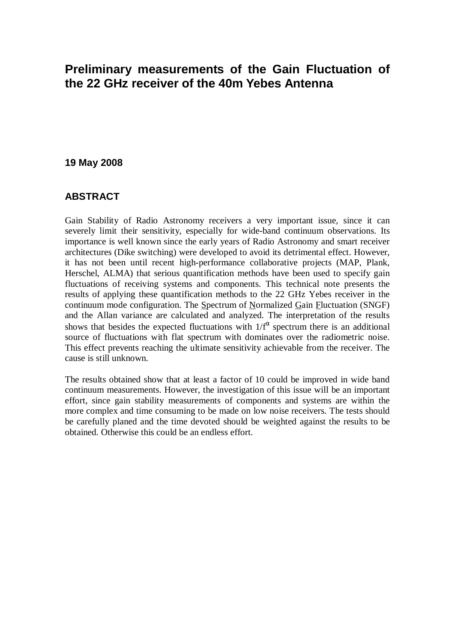# **Preliminary measurements of the Gain Fluctuation of the 22 GHz receiver of the 40m Yebes Antenna**

#### **19 May 2008**

#### **ABSTRACT**

Gain Stability of Radio Astronomy receivers a very important issue, since it can severely limit their sensitivity, especially for wide-band continuum observations. Its importance is well known since the early years of Radio Astronomy and smart receiver architectures (Dike switching) were developed to avoid its detrimental effect. However, it has not been until recent high-performance collaborative projects (MAP, Plank, Herschel, ALMA) that serious quantification methods have been used to specify gain fluctuations of receiving systems and components. This technical note presents the results of applying these quantification methods to the 22 GHz Yebes receiver in the continuum mode configuration. The Spectrum of Normalized Gain Fluctuation (SNGF) and the Allan variance are calculated and analyzed. The interpretation of the results shows that besides the expected fluctuations with  $1/f^{\alpha}$  spectrum there is an additional source of fluctuations with flat spectrum with dominates over the radiometric noise. This effect prevents reaching the ultimate sensitivity achievable from the receiver. The cause is still unknown.

The results obtained show that at least a factor of 10 could be improved in wide band continuum measurements. However, the investigation of this issue will be an important effort, since gain stability measurements of components and systems are within the more complex and time consuming to be made on low noise receivers. The tests should be carefully planed and the time devoted should be weighted against the results to be obtained. Otherwise this could be an endless effort.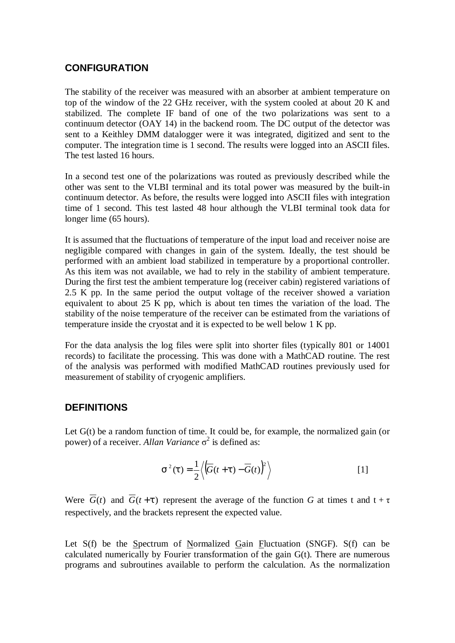### **CONFIGURATION**

The stability of the receiver was measured with an absorber at ambient temperature on top of the window of the 22 GHz receiver, with the system cooled at about 20 K and stabilized. The complete IF band of one of the two polarizations was sent to a continuum detector (OAY 14) in the backend room. The DC output of the detector was sent to a Keithley DMM datalogger were it was integrated, digitized and sent to the computer. The integration time is 1 second. The results were logged into an ASCII files. The test lasted 16 hours.

In a second test one of the polarizations was routed as previously described while the other was sent to the VLBI terminal and its total power was measured by the built-in continuum detector. As before, the results were logged into ASCII files with integration time of 1 second. This test lasted 48 hour although the VLBI terminal took data for longer lime (65 hours).

It is assumed that the fluctuations of temperature of the input load and receiver noise are negligible compared with changes in gain of the system. Ideally, the test should be performed with an ambient load stabilized in temperature by a proportional controller. As this item was not available, we had to rely in the stability of ambient temperature. During the first test the ambient temperature log (receiver cabin) registered variations of 2.5 K pp. In the same period the output voltage of the receiver showed a variation equivalent to about 25 K pp, which is about ten times the variation of the load. The stability of the noise temperature of the receiver can be estimated from the variations of temperature inside the cryostat and it is expected to be well below 1 K pp.

For the data analysis the log files were split into shorter files (typically 801 or 14001 records) to facilitate the processing. This was done with a MathCAD routine. The rest of the analysis was performed with modified MathCAD routines previously used for measurement of stability of cryogenic amplifiers.

## **DEFINITIONS**

Let  $G(t)$  be a random function of time. It could be, for example, the normalized gain (or power) of a receiver. *Allan Variance* σ 2 is defined as:

$$
\boldsymbol{S}^{2}(t) = \frac{1}{2} \left\langle \left( \overline{G}(t+t) - \overline{G}(t) \right)^{2} \right\rangle \tag{1}
$$

Were  $\overline{G}(t)$  and  $\overline{G}(t+t)$  represent the average of the function *G* at times t and  $t + \tau$ respectively, and the brackets represent the expected value.

Let  $S(f)$  be the Spectrum of Normalized Gain Fluctuation (SNGF). S(f) can be calculated numerically by Fourier transformation of the gain G(t). There are numerous programs and subroutines available to perform the calculation. As the normalization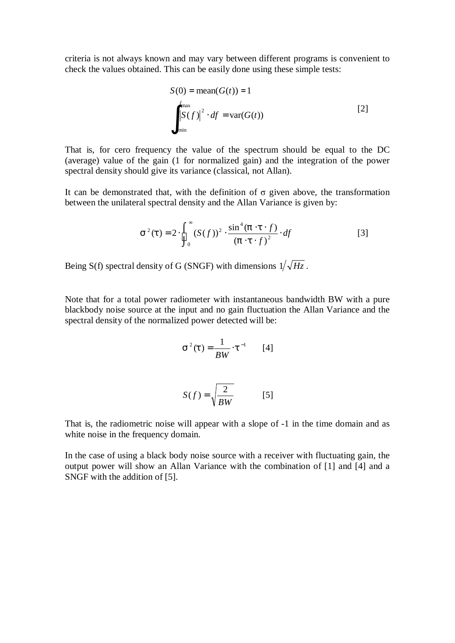criteria is not always known and may vary between different programs is convenient to check the values obtained. This can be easily done using these simple tests:

$$
S(0) = \text{mean}(G(t)) = 1
$$
  

$$
\int_{f_{\text{max}}}^{f_{\text{max}}} |S(f)|^2 \cdot df = \text{var}(G(t))
$$
 [2]

That is, for cero frequency the value of the spectrum should be equal to the DC (average) value of the gain (1 for normalized gain) and the integration of the power spectral density should give its variance (classical, not Allan).

It can be demonstrated that, with the definition of  $\sigma$  given above, the transformation between the unilateral spectral density and the Allan Variance is given by:

$$
\mathbf{s}^{2}(t) = 2 \cdot \int_{0}^{\infty} (S(f))^{2} \cdot \frac{\sin^{4}(p \cdot t \cdot f)}{(p \cdot t \cdot f)^{2}} \cdot df
$$
 [3]

Being S(f) spectral density of G (SNGF) with dimensions  $1/\sqrt{Hz}$ .

Note that for a total power radiometer with instantaneous bandwidth BW with a pure blackbody noise source at the input and no gain fluctuation the Allan Variance and the spectral density of the normalized power detected will be:

$$
s^{2}(t) = \frac{1}{BW} \cdot t^{-1} \qquad [4]
$$

$$
S(f) = \sqrt{\frac{2}{BW}} \qquad [5]
$$

That is, the radiometric noise will appear with a slope of -1 in the time domain and as white noise in the frequency domain.

In the case of using a black body noise source with a receiver with fluctuating gain, the output power will show an Allan Variance with the combination of [1] and [4] and a SNGF with the addition of [5].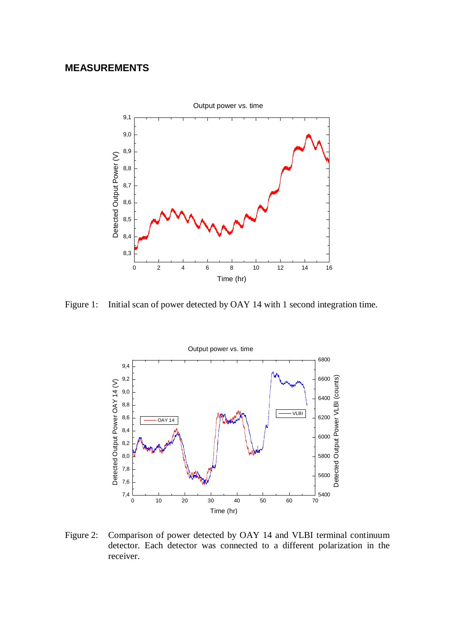# **MEASUREMENTS**



Figure 1: Initial scan of power detected by OAY 14 with 1 second integration time.



Figure 2: Comparison of power detected by OAY 14 and VLBI terminal continuum detector. Each detector was connected to a different polarization in the receiver.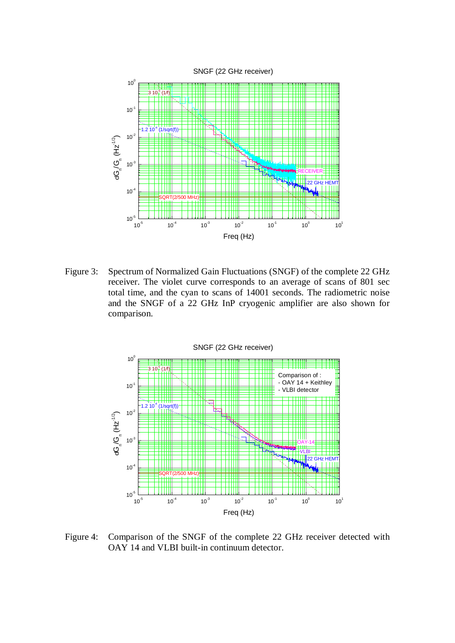

Figure 3: Spectrum of Normalized Gain Fluctuations (SNGF) of the complete 22 GHz receiver. The violet curve corresponds to an average of scans of 801 sec total time, and the cyan to scans of 14001 seconds. The radiometric noise and the SNGF of a 22 GHz InP cryogenic amplifier are also shown for comparison.



Figure 4: Comparison of the SNGF of the complete 22 GHz receiver detected with OAY 14 and VLBI built-in continuum detector.